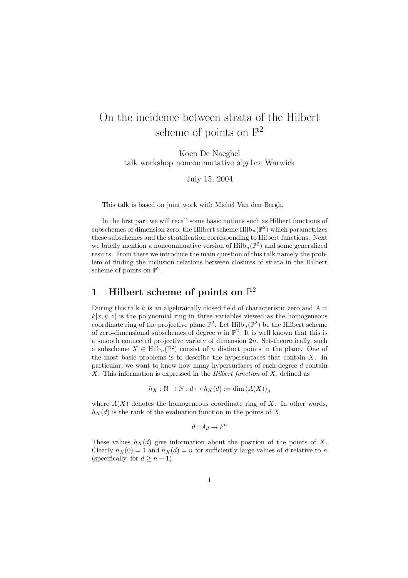# On the incidence between strata of the Hilbert scheme of points on  $\mathbb{P}^2$

Koen De Naeghel talk workshop noncommutative algebra Warwick

July 15, 2004

This talk is based on joint work with Michel Van den Bergh.

In the first part we will recall some basic notions such as Hilbert functions of subschemes of dimension zero, the Hilbert scheme  $\mathrm{Hilb}_{n}(\mathbb{P}^{2})$  which parametrizes these subschemes and the stratification corresponding to Hilbert functions. Next we briefly mention a noncommuative version of  $\mathrm{Hilb}_{n}(\mathbb{P}^{2})$  and some generalized results. From there we introduce the main question of this talk namely the problem of finding the inclusion relations between closures of strata in the Hilbert scheme of points on  $\mathbb{P}^2$ .

## 1 Hilbert scheme of points on  $\mathbb{P}^2$

During this talk k is an algebraically closed field of characteristic zero and  $A =$  $k[x, y, z]$  is the polynomial ring in three variables viewed as the homogeneous coordinate ring of the projective plane  $\mathbb{P}^2$ . Let  $\mathrm{Hilb}_n(\mathbb{P}^2)$  be the Hilbert scheme of zero-dimensional subschemes of degree n in  $\mathbb{P}^2$ . It is well known that this is a smooth connected projective variety of dimension  $2n$ . Set-theoretically, such a subscheme  $X \in \mathrm{Hilb}_n(\mathbb{P}^2)$  consist of n distinct points in the plane. One of the most basic problems is to describe the hypersurfaces that contain  $X$ . In particular, we want to know how many hypersurfaces of each degree d contain X. This information is expressed in the *Hilbert function* of  $X$ , defined as

$$
h_X:\mathbb{N}\to\mathbb{N}:d\mapsto h_X(d):=\dim\left(A(X)\right)_d
$$

where  $A(X)$  denotes the homogeneous coordinate ring of X. In other words,  $h_X(d)$  is the rank of the evaluation function in the points of X

$$
\theta:A_d\to k^n
$$

These values  $h_X(d)$  give information about the position of the points of X. Clearly  $h_X(0) = 1$  and  $h_X(d) = n$  for sufficiently large values of d relative to n (specifically, for  $d \geq n-1$ ).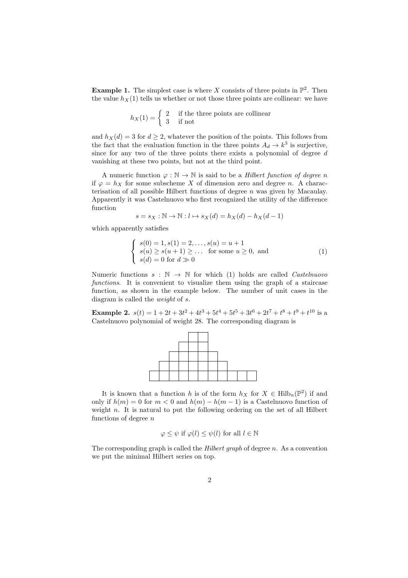**Example 1.** The simplest case is where X consists of three points in  $\mathbb{P}^2$ . Then the value  $h_X(1)$  tells us whether or not those three points are collinear: we have

$$
h_X(1) = \begin{cases} 2 & \text{if the three points are collinear} \\ 3 & \text{if not} \end{cases}
$$

and  $h_X(d) = 3$  for  $d \geq 2$ , whatever the position of the points. This follows from the fact that the evaluation function in the three points  $A_d \to k^3$  is surjective, since for any two of the three points there exists a polynomial of degree d vanishing at these two points, but not at the third point.

A numeric function  $\varphi : \mathbb{N} \to \mathbb{N}$  is said to be a *Hilbert function of degree n* if  $\varphi = h_X$  for some subscheme X of dimension zero and degree n. A characterisation of all possible Hilbert functions of degree  $n$  was given by Macaulay. Apparently it was Castelnuovo who first recognized the utility of the difference function

$$
s = s_X : \mathbb{N} \to \mathbb{N} : l \mapsto s_X(d) = h_X(d) - h_X(d-1)
$$

which apparently satisfies

$$
\begin{cases}\ns(0) = 1, s(1) = 2, \dots, s(u) = u + 1 \\
s(u) \ge s(u+1) \ge \dots \text{ for some } u \ge 0, \text{ and} \\
s(d) = 0 \text{ for } d \gg 0\n\end{cases}
$$
\n(1)

Numeric functions  $s : \mathbb{N} \to \mathbb{N}$  for which (1) holds are called *Castelnuovo* functions. It is convenient to visualize them using the graph of a staircase function, as shown in the example below. The number of unit cases in the diagram is called the weight of s.

**Example 2.**  $s(t) = 1 + 2t + 3t^2 + 4t^3 + 5t^4 + 5t^5 + 3t^6 + 2t^7 + t^8 + t^9 + t^{10}$  is a Castelnuovo polynomial of weight 28. The corresponding diagram is



It is known that a function h is of the form  $h_X$  for  $X \in \text{Hilb}_n(\mathbb{P}^2)$  if and only if  $h(m) = 0$  for  $m < 0$  and  $h(m) - h(m - 1)$  is a Castelnuovo function of weight n. It is natural to put the following ordering on the set of all Hilbert functions of degree  $n$ 

$$
\varphi \leq \psi
$$
 if  $\varphi(l) \leq \psi(l)$  for all  $l \in \mathbb{N}$ 

The corresponding graph is called the *Hilbert graph* of degree  $n$ . As a convention we put the minimal Hilbert series on top.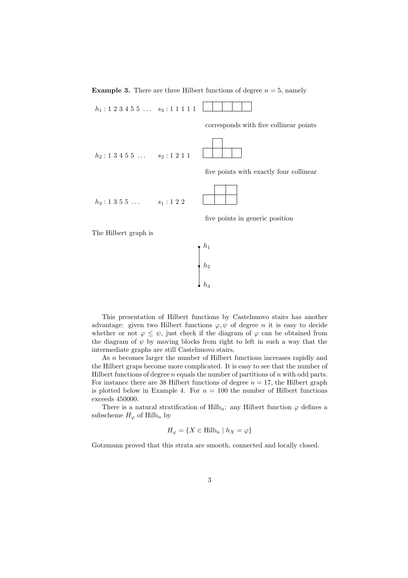**Example 3.** There are three Hilbert functions of degree  $n = 5$ , namely

 $h_1 : 1 \ 2 \ 3 \ 4 \ 5 \ 5 \ \ldots \quad s_3 : 1 \ 1 \ 1 \ 1 \ 1$ 

corresponds with five collinear points

 $\mathbb{R}$  $h_2$ : 1 3 4 5 5 ...  $s_2$ : 1 2 1 1

five points with exactly four collinear

 $h_3 : 1 \; 3 \; 5 \; 5 \; \ldots$   $s_1 : 1 \; 2 \; 2$ 

five points in generic position

The Hilbert graph is

$$
\begin{array}{c}\nh_1 \\
h_2 \\
h_3\n\end{array}
$$

This presentation of Hilbert functions by Castelnuovo stairs has another advantage: given two Hilbert functions  $\varphi, \psi$  of degree n it is easy to decide whether or not  $\varphi \leq \psi$ , just check if the diagram of  $\varphi$  can be obtained from the diagram of  $\psi$  by moving blocks from right to left in such a way that the intermediate graphs are still Castelnuovo stairs.

As n becomes larger the number of Hilbert functions increases rapidly and the Hilbert graps become more complicated. It is easy to see that the number of Hilbert functions of degree  $n$  equals the number of partitions of  $n$  with odd parts. For instance there are 38 Hilbert functions of degree  $n = 17$ , the Hilbert graph is plotted below in Example 4. For  $n = 100$  the number of Hilbert functions exceeds 450000.

There is a natural stratification of Hilb<sub>n</sub>: any Hilbert function  $\varphi$  defines a subscheme  $H_{\varphi}$  of Hilb<sub>n</sub> by

$$
H_{\varphi} = \{ X \in \text{Hilb}_n \mid h_X = \varphi \}
$$

Gotzmann proved that this strata are smooth, connected and locally closed.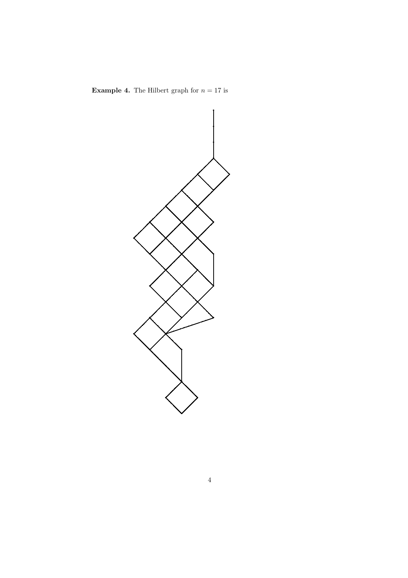

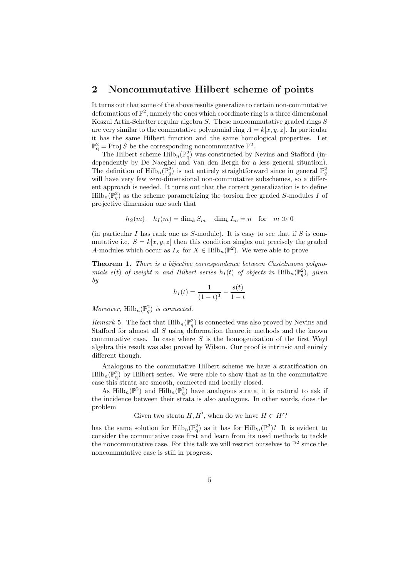#### 2 Noncommutative Hilbert scheme of points

It turns out that some of the above results generalize to certain non-commutative deformations of  $\mathbb{P}^2$ , namely the ones which coordinate ring is a three dimensional Koszul Artin-Schelter regular algebra S. These noncommutative graded rings S are very similar to the commutative polynomial ring  $A = k[x, y, z]$ . In particular it has the same Hilbert function and the same homological properties. Let  $\mathbb{P}_{q}^{2} = \text{Proj } S$  be the corresponding noncommutative  $\mathbb{P}^{2}$ .

The Hilbert scheme  $\mathrm{Hilb}_{n}(\mathbb{P}_{q}^{2})$  was constructed by Nevins and Stafford (independently by De Naeghel and Van den Bergh for a less general situation). The definition of  $\text{Hilb}_n(\mathbb{P}_q^2)$  is not entirely straightforward since in general  $\mathbb{P}_q^2$ will have very few zero-dimensional non-commutative subschemes, so a different approach is needed. It turns out that the correct generalization is to define  $\text{Hilb}_n(\mathbb{P}_q^2)$  as the scheme parametrizing the torsion free graded S-modules I of projective dimension one such that

$$
h_S(m) - h_I(m) = \dim_k S_m - \dim_k I_m = n \text{ for } m \gg 0
$$

(in particular  $I$  has rank one as  $S$ -module). It is easy to see that if  $S$  is commutative i.e.  $S = k[x, y, z]$  then this condition singles out precisely the graded A-modules which occur as  $I_X$  for  $X \in \text{Hilb}_n(\mathbb{P}^2)$ . We were able to prove

Theorem 1. There is a bijective correspondence between Castelnuovo polynomials  $s(t)$  of weight n and Hilbert series  $h_I(t)$  of objects in  $\text{Hilb}_n(\mathbb{P}_q^2)$ , given by

$$
h_I(t) = \frac{1}{(1-t)^3} - \frac{s(t)}{1-t}
$$

Moreover,  $\mathrm{Hilb}_{n}(\mathbb{P}_{q}^{2})$  is connected.

*Remark* 5. The fact that  $\text{Hilb}_n(\mathbb{P}_q^2)$  is connected was also proved by Nevins and Stafford for almost all S using deformation theoretic methods and the known commutative case. In case where  $S$  is the homogenization of the first Weyl algebra this result was also proved by Wilson. Our proof is intrinsic and enirely different though.

Analogous to the commutative Hilbert scheme we have a stratification on  $\text{Hilb}_n(\mathbb{P}^2_q)$  by Hilbert series. We were able to show that as in the commutative case this strata are smooth, connected and locally closed.

As  $\text{Hilb}_n(\mathbb{P}^2)$  and  $\text{Hilb}_n(\mathbb{P}^2)$  have analogous strata, it is natural to ask if the incidence between their strata is also analogous. In other words, does the problem

Given two strata  $H, H'$ , when do we have  $H \subset \overline{H'}$ ?

has the same solution for  $\mathrm{Hilb}_{n}(\mathbb{P}_{q}^{2})$  as it has for  $\mathrm{Hilb}_{n}(\mathbb{P}^{2})$ ? It is evident to consider the commutative case first and learn from its used methods to tackle the noncommutative case. For this talk we will restrict ourselves to  $\mathbb{P}^2$  since the noncommutative case is still in progress.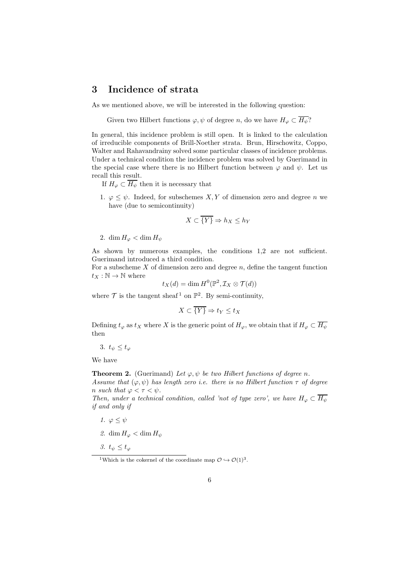### 3 Incidence of strata

As we mentioned above, we will be interested in the following question:

Given two Hilbert functions  $\varphi, \psi$  of degree n, do we have  $H_{\varphi} \subset \overline{H_{\psi}}$ ?

In general, this incidence problem is still open. It is linked to the calculation of irreducible components of Brill-Noether strata. Brun, Hirschowitz, Coppo, Walter and Rahavandrainy solved some particular classes of incidence problems. Under a technical condition the incidence problem was solved by Guerimand in the special case where there is no Hilbert function between  $\varphi$  and  $\psi$ . Let us recall this result.

If  $H_{\varphi} \subset \overline{H_{\psi}}$  then it is necessary that

1.  $\varphi \leq \psi$ . Indeed, for subschemes X, Y of dimension zero and degree n we have (due to semicontinuity)

$$
X \subset \overline{\{Y\}} \Rightarrow h_X \le h_Y
$$

2. dim  $H_{\varphi} < \dim H_{\psi}$ 

As shown by numerous examples, the conditions 1,2 are not sufficient. Guerimand introduced a third condition.

For a subscheme  $X$  of dimension zero and degree  $n$ , define the tangent function  $t_X : \mathbb{N} \to \mathbb{N}$  where

$$
t_X(d) = \dim H^0(\mathbb{P}^2, \mathcal{I}_X \otimes \mathcal{T}(d))
$$

where  $\mathcal T$  is the tangent sheaf<sup>1</sup> on  $\mathbb P^2$ . By semi-continuity,

$$
X \subset \overline{\{Y\}} \Rightarrow t_Y \le t_X
$$

Defining  $t_{\varphi}$  as  $t_X$  where X is the generic point of  $H_{\varphi}$ , we obtain that if  $H_{\varphi} \subset \overline{H_{\psi}}$ then

3.  $t_{\psi} \leq t_{\varphi}$ 

We have

**Theorem 2.** (Guerimand) Let  $\varphi, \psi$  be two Hilbert functions of degree n. Assume that  $(\varphi, \psi)$  has length zero i.e. there is no Hilbert function  $\tau$  of degree n such that  $\varphi < \tau < \psi$ .

Then, under a technical condition, called 'not of type zero', we have  $H_{\varphi} \subset \overline{H_{\psi}}$ if and only if

- 1.  $\varphi \leq \psi$
- 2. dim  $H_{\varphi} < \dim H_{\psi}$
- 3.  $t_{\psi} \leq t_{\varphi}$

<sup>&</sup>lt;sup>1</sup>Which is the cokernel of the coordinate map  $\mathcal{O} \hookrightarrow \mathcal{O}(1)^3$ .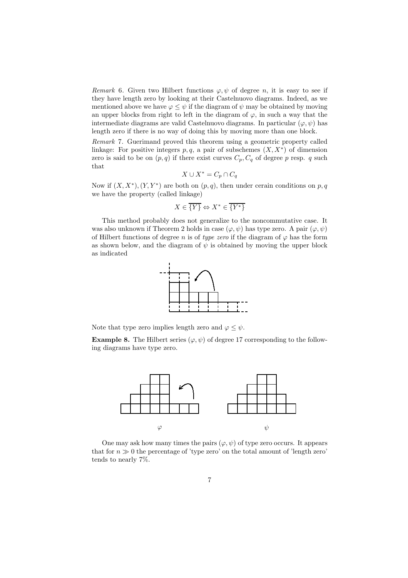Remark 6. Given two Hilbert functions  $\varphi, \psi$  of degree n, it is easy to see if they have length zero by looking at their Castelnuovo diagrams. Indeed, as we mentioned above we have  $\varphi \leq \psi$  if the diagram of  $\psi$  may be obtained by moving an upper blocks from right to left in the diagram of  $\varphi$ , in such a way that the intermediate diagrams are valid Castelnuovo diagrams. In particular  $(\varphi, \psi)$  has length zero if there is no way of doing this by moving more than one block.

Remark 7. Guerimand proved this theorem using a geometric property called linkage: For positive integers  $p, q$ , a pair of subschemes  $(X, X^*)$  of dimension zero is said to be on  $(p, q)$  if there exist curves  $C_p, C_q$  of degree p resp. q such that

$$
X \cup X^* = C_p \cap C_q
$$

Now if  $(X, X^*)$ ,  $(Y, Y^*)$  are both on  $(p, q)$ , then under cerain conditions on p, q we have the property (called linkage)

$$
X \in \overline{\{Y\}} \Leftrightarrow X^* \in \overline{\{Y^*\}}
$$

This method probably does not generalize to the noncommutative case. It was also unknown if Theorem 2 holds in case  $(\varphi, \psi)$  has type zero. A pair  $(\varphi, \psi)$ of Hilbert functions of degree n is of type zero if the diagram of  $\varphi$  has the form as shown below, and the diagram of  $\psi$  is obtained by moving the upper block as indicated



Note that type zero implies length zero and  $\varphi \leq \psi$ .

**Example 8.** The Hilbert series  $(\varphi, \psi)$  of degree 17 corresponding to the following diagrams have type zero.



One may ask how many times the pairs  $(\varphi, \psi)$  of type zero occurs. It appears that for  $n \gg 0$  the percentage of 'type zero' on the total amount of 'length zero' tends to nearly 7%.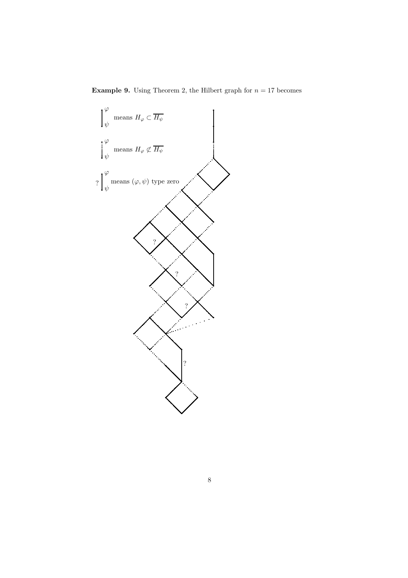**Example 9.** Using Theorem 2, the Hilbert graph for  $n = 17$  becomes

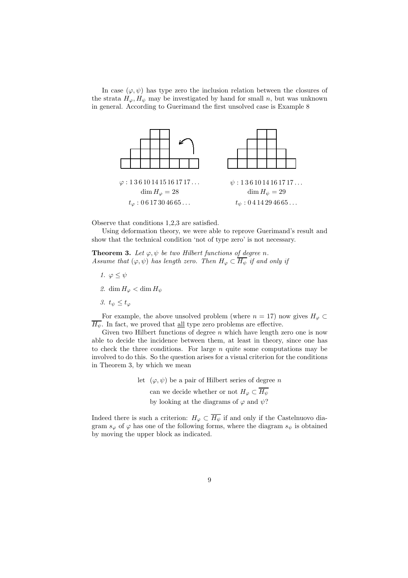In case  $(\varphi, \psi)$  has type zero the inclusion relation between the closures of the strata  $H_{\varphi}, H_{\psi}$  may be investigated by hand for small n, but was unknown in general. According to Guerimand the first unsolved case is Example 8



Observe that conditions 1,2,3 are satisfied.

Using deformation theory, we were able to reprove Guerimand's result and show that the technical condition 'not of type zero' is not necessary.

**Theorem 3.** Let  $\varphi, \psi$  be two Hilbert functions of degree n. Assume that  $(\varphi, \psi)$  has length zero. Then  $H_{\varphi} \subset \overline{H_{\psi}}$  if and only if

- 1.  $\varphi \leq \psi$
- 2. dim  $H_{\varphi} < \dim H_{\psi}$
- 3.  $t_{\psi} \leq t_{\varphi}$

For example, the above unsolved problem (where  $n = 17$ ) now gives  $H_{\varphi} \subset$  $\overline{H_{\psi}}$ . In fact, we proved that <u>all</u> type zero problems are effective.

Given two Hilbert functions of degree  $n$  which have length zero one is now able to decide the incidence between them, at least in theory, since one has to check the three conditions. For large  $n$  quite some computations may be involved to do this. So the question arises for a visual criterion for the conditions in Theorem 3, by which we mean

> let  $(\varphi, \psi)$  be a pair of Hilbert series of degree n can we decide whether or not  $H_{\varphi} \subset \overline{H_{\psi}}$ by looking at the diagrams of  $\varphi$  and  $\psi$ ?

Indeed there is such a criterion:  $H_{\varphi} \subset \overline{H_{\psi}}$  if and only if the Castelnuovo diagram  $s_{\varphi}$  of  $\varphi$  has one of the following forms, where the diagram  $s_{\psi}$  is obtained by moving the upper block as indicated.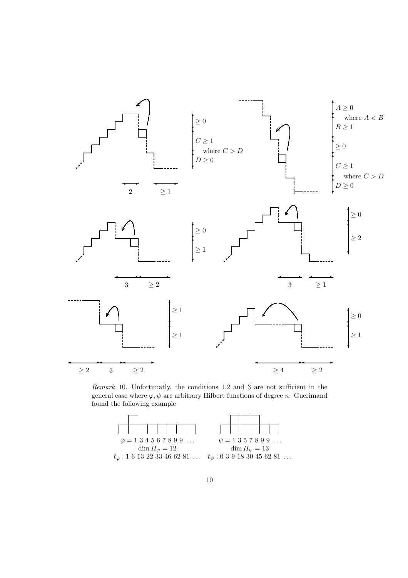

Remark 10. Unfortunatly, the conditions 1,2 and 3 are not sufficient in the general case where  $\varphi, \psi$  are arbitrary Hilbert functions of degree n. Guerimand found the following example